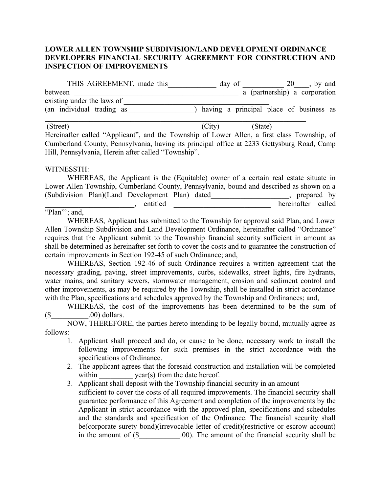## **LOWER ALLEN TOWNSHIP SUBDIVISION/LAND DEVELOPMENT ORDINANCE DEVELOPERS FINANCIAL SECURITY AGREEMENT FOR CONSTRUCTION AND INSPECTION OF IMPROVEMENTS**

| THIS AGREEMENT, made this  | day of | , by and<br>20                          |
|----------------------------|--------|-----------------------------------------|
| between                    |        | a (partnership) a corporation           |
| existing under the laws of |        |                                         |
| (an individual trading as  |        | having a principal place of business as |
|                            |        |                                         |

(Street) (City) (State) Hereinafter called "Applicant", and the Township of Lower Allen, a first class Township, of Cumberland County, Pennsylvania, having its principal office at 2233 Gettysburg Road, Camp Hill, Pennsylvania, Herein after called "Township".

## WITNESSTH:

| WHEREAS, the Applicant is the (Equitable) owner of a certain real estate situate in      |          |  |  |                    |  |
|------------------------------------------------------------------------------------------|----------|--|--|--------------------|--|
| Lower Allen Township, Cumberland County, Pennsylvania, bound and described as shown on a |          |  |  |                    |  |
| (Subdivision Plan)(Land Development Plan) dated                                          |          |  |  | , prepared by      |  |
|                                                                                          | entitled |  |  | hereinafter called |  |

## "Plan"; and,

WHEREAS, Applicant has submitted to the Township for approval said Plan, and Lower Allen Township Subdivision and Land Development Ordinance, hereinafter called "Ordinance" requires that the Applicant submit to the Township financial security sufficient in amount as shall be determined as hereinafter set forth to cover the costs and to guarantee the construction of certain improvements in Section 192-45 of such Ordinance; and,

WHEREAS, Section 192-46 of such Ordinance requires a written agreement that the necessary grading, paving, street improvements, curbs, sidewalks, street lights, fire hydrants, water mains, and sanitary sewers, stormwater management, erosion and sediment control and other improvements, as may be required by the Township, shall be installed in strict accordance with the Plan, specifications and schedules approved by the Township and Ordinances; and,

WHEREAS, the cost of the improvements has been determined to be the sum of  $($ \$  $.00)$  dollars.

NOW, THEREFORE, the parties hereto intending to be legally bound, mutually agree as follows:

- 1. Applicant shall proceed and do, or cause to be done, necessary work to install the following improvements for such premises in the strict accordance with the specifications of Ordinance.
- 2. The applicant agrees that the foresaid construction and installation will be completed within  $year(s)$  from the date hereof.
- 3. Applicant shall deposit with the Township financial security in an amount sufficient to cover the costs of all required improvements. The financial security shall guarantee performance of this Agreement and completion of the improvements by the Applicant in strict accordance with the approved plan, specifications and schedules and the standards and specification of the Ordinance. The financial security shall be(corporate surety bond)(irrevocable letter of credit)(restrictive or escrow account) in the amount of  $(\$$  00). The amount of the financial security shall be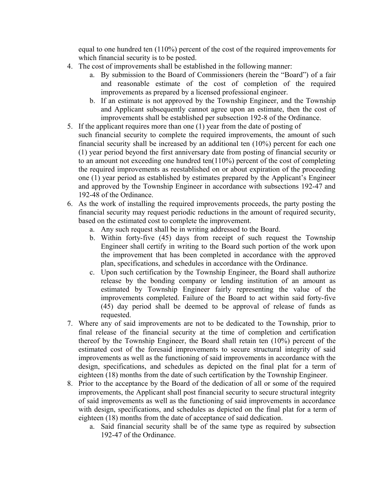equal to one hundred ten (110%) percent of the cost of the required improvements for which financial security is to be posted.

- 4. The cost of improvements shall be established in the following manner:
	- a. By submission to the Board of Commissioners (herein the "Board") of a fair and reasonable estimate of the cost of completion of the required improvements as prepared by a licensed professional engineer.
	- b. If an estimate is not approved by the Township Engineer, and the Township and Applicant subsequently cannot agree upon an estimate, then the cost of improvements shall be established per subsection 192-8 of the Ordinance.
- 5. If the applicant requires more than one (1) year from the date of posting of such financial security to complete the required improvements, the amount of such financial security shall be increased by an additional ten (10%) percent for each one (1) year period beyond the first anniversary date from posting of financial security or to an amount not exceeding one hundred ten(110%) percent of the cost of completing the required improvements as reestablished on or about expiration of the proceeding one (1) year period as established by estimates prepared by the Applicant's Engineer and approved by the Township Engineer in accordance with subsections 192-47 and 192-48 of the Ordinance.
- 6. As the work of installing the required improvements proceeds, the party posting the financial security may request periodic reductions in the amount of required security, based on the estimated cost to complete the improvement.
	- a. Any such request shall be in writing addressed to the Board.
	- b. Within forty-five (45) days from receipt of such request the Township Engineer shall certify in writing to the Board such portion of the work upon the improvement that has been completed in accordance with the approved plan, specifications, and schedules in accordance with the Ordinance.
	- c. Upon such certification by the Township Engineer, the Board shall authorize release by the bonding company or lending institution of an amount as estimated by Township Engineer fairly representing the value of the improvements completed. Failure of the Board to act within said forty-five (45) day period shall be deemed to be approval of release of funds as requested.
- 7. Where any of said improvements are not to be dedicated to the Township, prior to final release of the financial security at the time of completion and certification thereof by the Township Engineer, the Board shall retain ten (10%) percent of the estimated cost of the foresaid improvements to secure structural integrity of said improvements as well as the functioning of said improvements in accordance with the design, specifications, and schedules as depicted on the final plat for a term of eighteen (18) months from the date of such certification by the Township Engineer.
- 8. Prior to the acceptance by the Board of the dedication of all or some of the required improvements, the Applicant shall post financial security to secure structural integrity of said improvements as well as the functioning of said improvements in accordance with design, specifications, and schedules as depicted on the final plat for a term of eighteen (18) months from the date of acceptance of said dedication.
	- a. Said financial security shall be of the same type as required by subsection 192-47 of the Ordinance.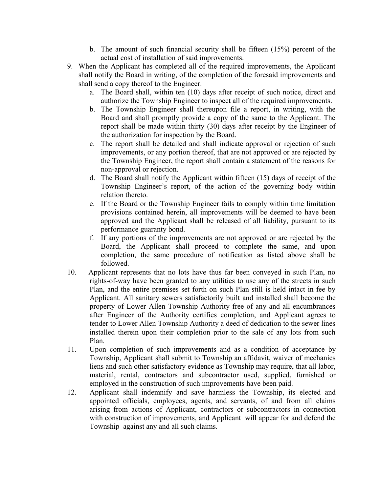- b. The amount of such financial security shall be fifteen (15%) percent of the actual cost of installation of said improvements.
- 9. When the Applicant has completed all of the required improvements, the Applicant shall notify the Board in writing, of the completion of the foresaid improvements and shall send a copy thereof to the Engineer.
	- a. The Board shall, within ten (10) days after receipt of such notice, direct and authorize the Township Engineer to inspect all of the required improvements.
	- b. The Township Engineer shall thereupon file a report, in writing, with the Board and shall promptly provide a copy of the same to the Applicant. The report shall be made within thirty (30) days after receipt by the Engineer of the authorization for inspection by the Board.
	- c. The report shall be detailed and shall indicate approval or rejection of such improvements, or any portion thereof, that are not approved or are rejected by the Township Engineer, the report shall contain a statement of the reasons for non-approval or rejection.
	- d. The Board shall notify the Applicant within fifteen (15) days of receipt of the Township Engineer's report, of the action of the governing body within relation thereto.
	- e. If the Board or the Township Engineer fails to comply within time limitation provisions contained herein, all improvements will be deemed to have been approved and the Applicant shall be released of all liability, pursuant to its performance guaranty bond.
	- f. If any portions of the improvements are not approved or are rejected by the Board, the Applicant shall proceed to complete the same, and upon completion, the same procedure of notification as listed above shall be followed.
- 10. Applicant represents that no lots have thus far been conveyed in such Plan, no rights-of-way have been granted to any utilities to use any of the streets in such Plan, and the entire premises set forth on such Plan still is held intact in fee by Applicant. All sanitary sewers satisfactorily built and installed shall become the property of Lower Allen Township Authority free of any and all encumbrances after Engineer of the Authority certifies completion, and Applicant agrees to tender to Lower Allen Township Authority a deed of dedication to the sewer lines installed therein upon their completion prior to the sale of any lots from such Plan.
- 11. Upon completion of such improvements and as a condition of acceptance by Township, Applicant shall submit to Township an affidavit, waiver of mechanics liens and such other satisfactory evidence as Township may require, that all labor, material, rental, contractors and subcontractor used, supplied, furnished or employed in the construction of such improvements have been paid.
- 12. Applicant shall indemnify and save harmless the Township, its elected and appointed officials, employees, agents, and servants, of and from all claims arising from actions of Applicant, contractors or subcontractors in connection with construction of improvements, and Applicant will appear for and defend the Township against any and all such claims.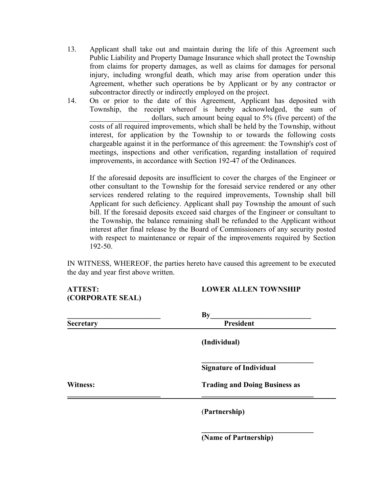- 13. Applicant shall take out and maintain during the life of this Agreement such Public Liability and Property Damage Insurance which shall protect the Township from claims for property damages, as well as claims for damages for personal injury, including wrongful death, which may arise from operation under this Agreement, whether such operations be by Applicant or by any contractor or subcontractor directly or indirectly employed on the project.
- 14. On or prior to the date of this Agreement, Applicant has deposited with Township, the receipt whereof is hereby acknowledged, the sum of dollars, such amount being equal to 5% (five percent) of the costs of all required improvements, which shall be held by the Township, without interest, for application by the Township to or towards the following costs chargeable against it in the performance of this agreement: the Township's cost of meetings, inspections and other verification, regarding installation of required improvements, in accordance with Section 192-47 of the Ordinances.

If the aforesaid deposits are insufficient to cover the charges of the Engineer or other consultant to the Township for the foresaid service rendered or any other services rendered relating to the required improvements, Township shall bill Applicant for such deficiency. Applicant shall pay Township the amount of such bill. If the foresaid deposits exceed said charges of the Engineer or consultant to the Township, the balance remaining shall be refunded to the Applicant without interest after final release by the Board of Commissioners of any security posted with respect to maintenance or repair of the improvements required by Section 192-50.

IN WITNESS, WHEREOF, the parties hereto have caused this agreement to be executed the day and year first above written.

| <b>ATTEST:</b><br>(CORPORATE SEAL) | <b>LOWER ALLEN TOWNSHIP</b>          |  |  |  |
|------------------------------------|--------------------------------------|--|--|--|
|                                    | $\mathbf{By}$                        |  |  |  |
| <b>Secretary</b>                   | <b>President</b>                     |  |  |  |
|                                    | (Individual)                         |  |  |  |
|                                    | <b>Signature of Individual</b>       |  |  |  |
| Witness:                           | <b>Trading and Doing Business as</b> |  |  |  |
|                                    | (Partnership)                        |  |  |  |
|                                    | (Name of Partnership)                |  |  |  |